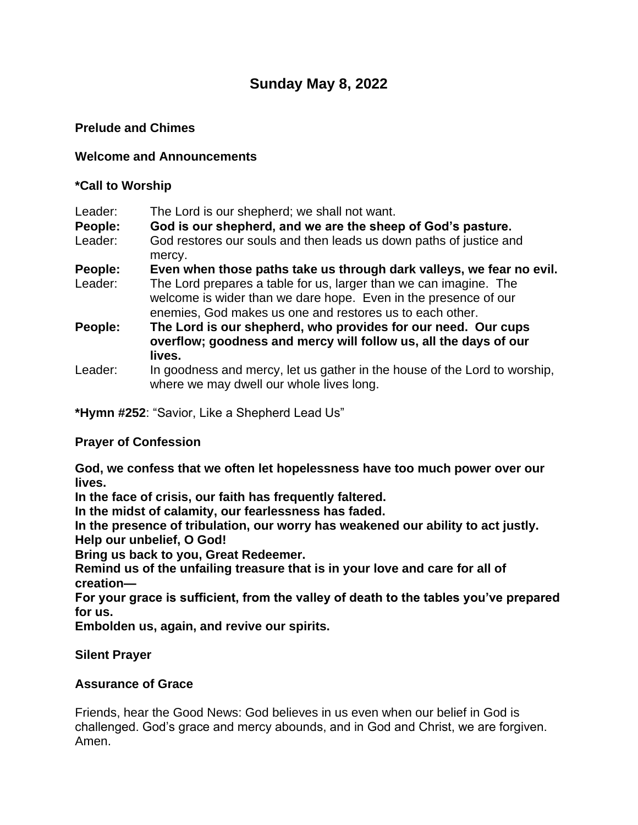# **Sunday May 8, 2022**

## **Prelude and Chimes**

#### **Welcome and Announcements**

#### **\*Call to Worship**

| Leader: | The Lord is our shepherd; we shall not want.                                                                                                                                                     |
|---------|--------------------------------------------------------------------------------------------------------------------------------------------------------------------------------------------------|
| People: | God is our shepherd, and we are the sheep of God's pasture.                                                                                                                                      |
| Leader: | God restores our souls and then leads us down paths of justice and<br>mercy.                                                                                                                     |
| People: | Even when those paths take us through dark valleys, we fear no evil.                                                                                                                             |
| Leader: | The Lord prepares a table for us, larger than we can imagine. The<br>welcome is wider than we dare hope. Even in the presence of our<br>enemies, God makes us one and restores us to each other. |
| People: | The Lord is our shepherd, who provides for our need. Our cups<br>overflow; goodness and mercy will follow us, all the days of our<br>lives.                                                      |
| Leader: | In goodness and mercy, let us gather in the house of the Lord to worship,<br>where we may dwell our whole lives long.                                                                            |

**\*Hymn #252**: "Savior, Like a Shepherd Lead Us"

#### **Prayer of Confession**

**God, we confess that we often let hopelessness have too much power over our lives.**

**In the face of crisis, our faith has frequently faltered.**

**In the midst of calamity, our fearlessness has faded.**

**In the presence of tribulation, our worry has weakened our ability to act justly. Help our unbelief, O God!**

**Bring us back to you, Great Redeemer.**

**Remind us of the unfailing treasure that is in your love and care for all of creation—**

**For your grace is sufficient, from the valley of death to the tables you've prepared for us.**

**Embolden us, again, and revive our spirits.**

#### **Silent Prayer**

#### **Assurance of Grace**

Friends, hear the Good News: God believes in us even when our belief in God is challenged. God's grace and mercy abounds, and in God and Christ, we are forgiven. Amen.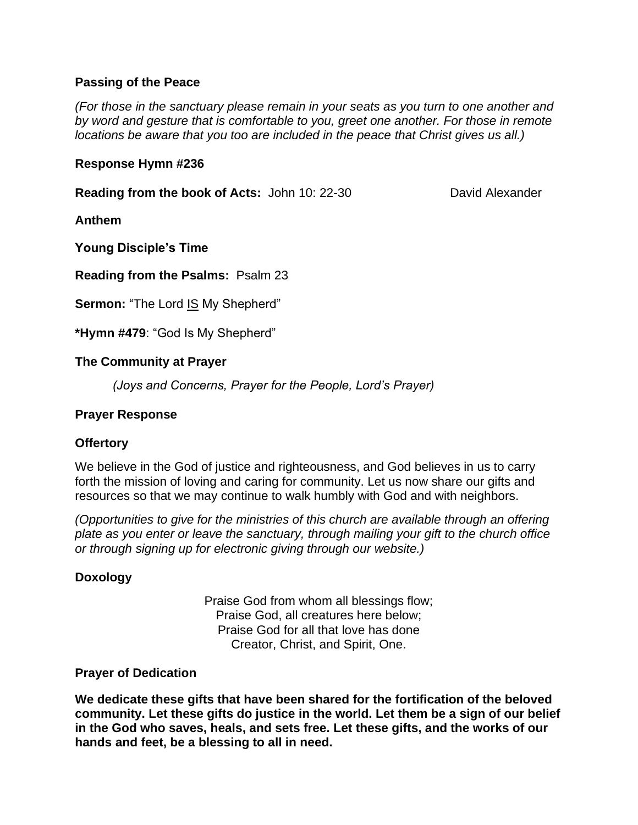## **Passing of the Peace**

*(For those in the sanctuary please remain in your seats as you turn to one another and by word and gesture that is comfortable to you, greet one another. For those in remote locations be aware that you too are included in the peace that Christ gives us all.)*

#### **Response Hymn #236**

**Reading from the book of Acts:** John 10: 22-30 David Alexander

**Anthem**

**Young Disciple's Time**

**Reading from the Psalms:** Psalm 23

**Sermon:** "The Lord IS My Shepherd"

**\*Hymn #479**: "God Is My Shepherd"

#### **The Community at Prayer**

*(Joys and Concerns, Prayer for the People, Lord's Prayer)*

#### **Prayer Response**

#### **Offertory**

We believe in the God of justice and righteousness, and God believes in us to carry forth the mission of loving and caring for community. Let us now share our gifts and resources so that we may continue to walk humbly with God and with neighbors.

*(Opportunities to give for the ministries of this church are available through an offering plate as you enter or leave the sanctuary, through mailing your gift to the church office or through signing up for electronic giving through our website.)*

#### **Doxology**

Praise God from whom all blessings flow; Praise God, all creatures here below; Praise God for all that love has done Creator, Christ, and Spirit, One.

#### **Prayer of Dedication**

**We dedicate these gifts that have been shared for the fortification of the beloved community. Let these gifts do justice in the world. Let them be a sign of our belief in the God who saves, heals, and sets free. Let these gifts, and the works of our hands and feet, be a blessing to all in need.**